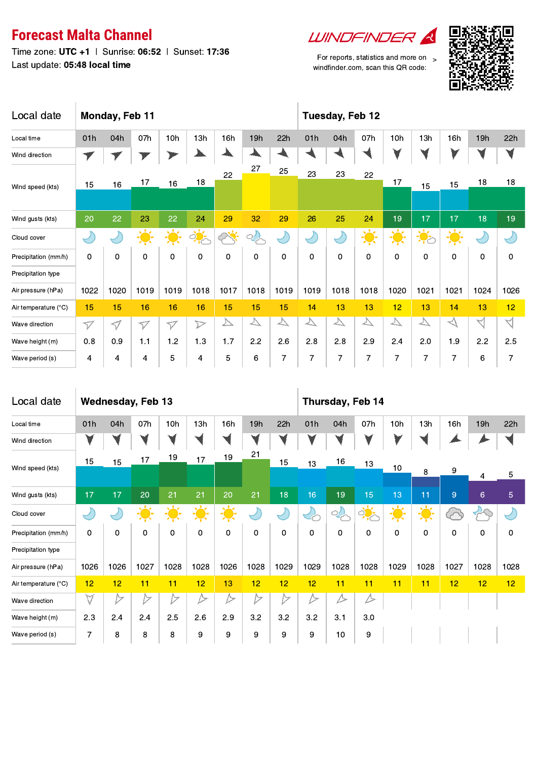## **Forecast Malta Channel**

Time zone: UTC +1 | Sunrise: 06:52 | Sunset: 17:36 Last update: 05:48 local time

## **WINDFINDER**

For reports, statistics and more on  $\overline{\phantom{a}}$ windfinder.com, scan this QR code:



| Local date           |                 | Monday, Feb 11  |                 |                  |                     |                         |                   | Tuesday, Feb 12   |          |                |                   |                   |                   |               |          |         |
|----------------------|-----------------|-----------------|-----------------|------------------|---------------------|-------------------------|-------------------|-------------------|----------|----------------|-------------------|-------------------|-------------------|---------------|----------|---------|
| Local time           | 01h             | 04h             | 07h             | 10h              | 13h                 | 16h                     | 19h               | 22h               | 01h      | 04h            | 07h               | 10h               | 13h               | 16h           | 19h      | 22h     |
| Wind direction       | 7               |                 |                 |                  |                     |                         | a.                |                   |          |                | ۷Â                | V                 | ₩                 |               |          |         |
| Wind speed (kts)     | 15              | 16              | 17              | 16               | 18                  | 22                      | 27                | 25                | 23       | 23             | 22                | 17                | 15                | 15            | 18       | 18      |
|                      |                 |                 |                 |                  |                     |                         |                   |                   |          |                |                   |                   |                   |               |          |         |
| Wind gusts (kts)     | 20              | 22              | 23              | 22               | 24                  | 29                      | 32                | 29                | 26       | 25             | 24                | 19                | 17                | 17            | 18       | 19      |
| Cloud cover          |                 |                 | $\cdot$         | $\ddot{\bullet}$ | ् <mark>र</mark> ान | $\sim$                  | $\overline{Q}$    | $\bigcup$         |          |                | $\frac{1}{2}$     | $\frac{1}{2}$     | $\ddot{\bullet}$  | $\frac{1}{2}$ |          |         |
| Precipitation (mm/h) | $\Omega$        | 0               | 0               | 0                | 0                   | 0                       | 0                 | 0                 | 0        | 0              | $\mathbf 0$       | $\mathbf 0$       | $\mathbf 0$       | $\Omega$      | $\Omega$ | 0       |
| Precipitation type   |                 |                 |                 |                  |                     |                         |                   |                   |          |                |                   |                   |                   |               |          |         |
| Air pressure (hPa)   | 1022            | 1020            | 1019            | 1019             | 1018                | 1017                    | 1018              | 1019              | 1019     | 1018           | 1018              | 1020              | 1021              | 1021          | 1024     | 1026    |
| Air temperature (°C) | 15              | 15              | 16              | 16               | 16                  | 15                      | 15                | 15                | 14       | 13             | 13                | 12                | 13                | 14            | 13       | 12      |
| Wave direction       | $\triangledown$ | $\triangleleft$ | $\triangledown$ | $\triangledown$  | $\triangleright$    | $\overline{\mathbb{A}}$ | $\overline{\vee}$ | $\overline{\vee}$ | $\Delta$ | $\Delta$       | $\overline{\vee}$ | $\overline{\vee}$ | $\overline{\vee}$ | $\prec$       | $\prec$  | $\prec$ |
| Wave height (m)      | 0.8             | 0.9             | 1.1             | 1.2              | 1.3                 | 1.7                     | 2.2               | 2.6               | 2.8      | 2.8            | 2.9               | 2.4               | 2.0               | 1.9           | 2.2      | 2.5     |
| Wave period (s)      | 4               | 4               | 4               | 5                | 4                   | 5                       | 6                 | $\overline{7}$    | 7        | $\overline{7}$ | $\overline{7}$    | 7                 | $\overline{7}$    | 7             | 6        | 7       |

| Local date           |           |                  | <b>Wednesday, Feb 13</b> |               |               |                  |                       | Thursday, Feb 14 |                  |               |      |               |           |      |          |      |
|----------------------|-----------|------------------|--------------------------|---------------|---------------|------------------|-----------------------|------------------|------------------|---------------|------|---------------|-----------|------|----------|------|
| Local time           | 01h       | 04h              | 07h                      | 10h           | 13h           | 16h              | 19h                   | 22h              | 01h              | 04h           | 07h  | 10h           | 13h       | 16h  | 19h      | 22h  |
| Wind direction       | V         |                  |                          |               |               |                  | V                     |                  |                  |               | V    | ▼             |           |      |          |      |
| Wind speed (kts)     | 15        | 15               | 17                       | 19            | 17            | 19               | 21                    | 15               | 13               | 16            | 13   | 10            | 8         | 9    | 4        | 5    |
| Wind gusts (kts)     | 17        | 17               | 20                       | 21            | 21            | 20               | 21                    | 18               | 16               | 19            | 15   | 13            | 11        | 9    | 6        | 5    |
| Cloud cover          |           |                  | $\frac{1}{2}$            | $\frac{1}{2}$ | $\frac{1}{2}$ | $\frac{1}{2}$    | $\blacktriangleright$ | ↩.               | $\mathcal{S}$    | $\frac{1}{2}$ | ्रं  | $\frac{1}{2}$ | ان<br>بار |      |          |      |
| Precipitation (mm/h) | 0         | 0                | $\Omega$                 | 0             | $\Omega$      | $\mathbf 0$      | 0                     | $\Omega$         | $\Omega$         | 0             | 0    | 0             | 0         | 0    | $\Omega$ | 0    |
| Precipitation type   |           |                  |                          |               |               |                  |                       |                  |                  |               |      |               |           |      |          |      |
| Air pressure (hPa)   | 1026      | 1026             | 1027                     | 1028          | 1028          | 1026             | 1028                  | 1029             | 1029             | 1028          | 1028 | 1029          | 1028      | 1027 | 1028     | 1028 |
| Air temperature (°C) | 12        | 12               | 11                       | 11            | 12            | 13               | 12                    | 12               | 12               | 11            | 11   | 11            | 11        | 12   | 12       | 12   |
| Wave direction       | $\forall$ | $\triangleright$ | $\triangleright$         | D             | ▷             | $\triangleright$ | $\triangleright$      | $\triangleright$ | $\triangleright$ | ∠             | ∠    |               |           |      |          |      |
| Wave height (m)      | 2.3       | 2.4              | 2.4                      | 2.5           | 2.6           | 2.9              | 3.2                   | 3.2              | 3.2              | 3.1           | 3.0  |               |           |      |          |      |
| Wave period (s)      | 7         | 8                | 8                        | 8             | 9             | 9                | 9                     | 9                | 9                | 10            | 9    |               |           |      |          |      |